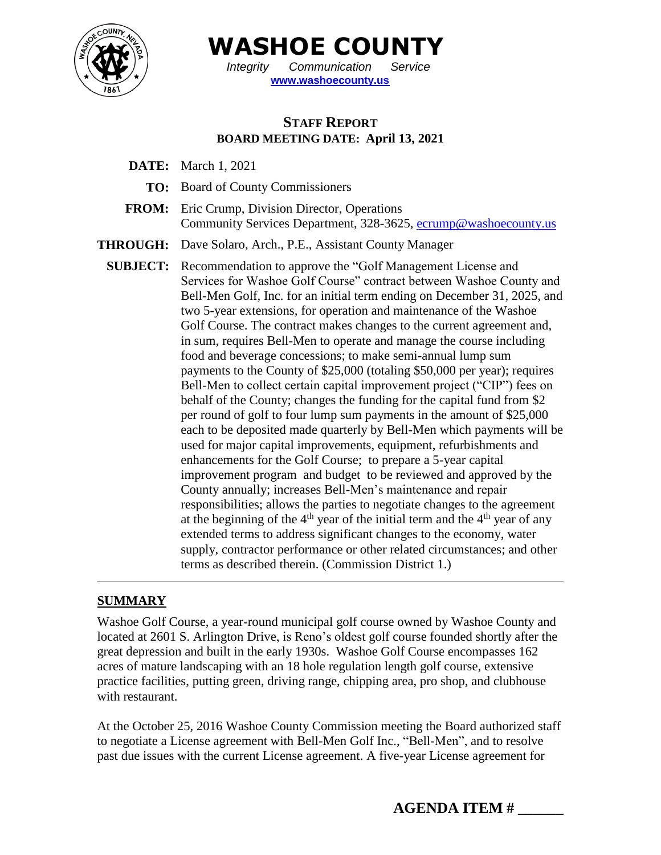

 **WASHOE COUNTY** *Integrity Communication Service*

**[www.washoecounty.us](http://www.washoecounty.us/)**

# **STAFF REPORT BOARD MEETING DATE: April 13, 2021**

- **DATE:** March 1, 2021
	- **TO:** Board of County Commissioners
- **FROM:** Eric Crump, Division Director, Operations Community Services Department, 328-3625, [ecrump@washoecounty.us](mailto:ecrump@washoecounty.us)
- **THROUGH:** Dave Solaro, Arch., P.E., Assistant County Manager
	- **SUBJECT:** Recommendation to approve the "Golf Management License and Services for Washoe Golf Course" contract between Washoe County and Bell-Men Golf, Inc. for an initial term ending on December 31, 2025, and two 5-year extensions, for operation and maintenance of the Washoe Golf Course. The contract makes changes to the current agreement and, in sum, requires Bell-Men to operate and manage the course including food and beverage concessions; to make semi-annual lump sum payments to the County of \$25,000 (totaling \$50,000 per year); requires Bell-Men to collect certain capital improvement project ("CIP") fees on behalf of the County; changes the funding for the capital fund from \$2 per round of golf to four lump sum payments in the amount of \$25,000 each to be deposited made quarterly by Bell-Men which payments will be used for major capital improvements, equipment, refurbishments and enhancements for the Golf Course; to prepare a 5-year capital improvement program and budget to be reviewed and approved by the County annually; increases Bell-Men's maintenance and repair responsibilities; allows the parties to negotiate changes to the agreement at the beginning of the  $4<sup>th</sup>$  year of the initial term and the  $4<sup>th</sup>$  year of any extended terms to address significant changes to the economy, water supply, contractor performance or other related circumstances; and other terms as described therein. (Commission District 1.)

### **SUMMARY**

Washoe Golf Course, a year-round municipal golf course owned by Washoe County and located at 2601 S. Arlington Drive, is Reno's oldest golf course founded shortly after the great depression and built in the early 1930s. Washoe Golf Course encompasses 162 acres of mature landscaping with an 18 hole regulation length golf course, extensive practice facilities, putting green, driving range, chipping area, pro shop, and clubhouse with restaurant.

At the October 25, 2016 Washoe County Commission meeting the Board authorized staff to negotiate a License agreement with Bell-Men Golf Inc., "Bell-Men", and to resolve past due issues with the current License agreement. A five-year License agreement for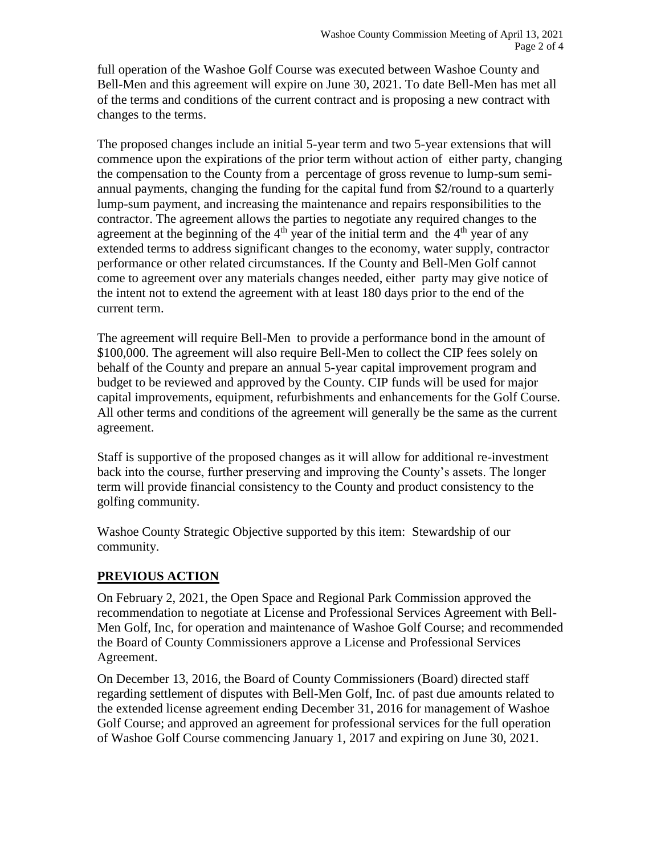full operation of the Washoe Golf Course was executed between Washoe County and Bell-Men and this agreement will expire on June 30, 2021. To date Bell-Men has met all of the terms and conditions of the current contract and is proposing a new contract with changes to the terms.

The proposed changes include an initial 5-year term and two 5-year extensions that will commence upon the expirations of the prior term without action of either party, changing the compensation to the County from a percentage of gross revenue to lump-sum semiannual payments, changing the funding for the capital fund from \$2/round to a quarterly lump-sum payment, and increasing the maintenance and repairs responsibilities to the contractor. The agreement allows the parties to negotiate any required changes to the agreement at the beginning of the  $4<sup>th</sup>$  year of the initial term and the  $4<sup>th</sup>$  year of any extended terms to address significant changes to the economy, water supply, contractor performance or other related circumstances. If the County and Bell-Men Golf cannot come to agreement over any materials changes needed, either party may give notice of the intent not to extend the agreement with at least 180 days prior to the end of the current term.

The agreement will require Bell-Men to provide a performance bond in the amount of \$100,000. The agreement will also require Bell-Men to collect the CIP fees solely on behalf of the County and prepare an annual 5-year capital improvement program and budget to be reviewed and approved by the County. CIP funds will be used for major capital improvements, equipment, refurbishments and enhancements for the Golf Course. All other terms and conditions of the agreement will generally be the same as the current agreement.

Staff is supportive of the proposed changes as it will allow for additional re-investment back into the course, further preserving and improving the County's assets. The longer term will provide financial consistency to the County and product consistency to the golfing community.

Washoe County Strategic Objective supported by this item: Stewardship of our community.

### **PREVIOUS ACTION**

On February 2, 2021, the Open Space and Regional Park Commission approved the recommendation to negotiate at License and Professional Services Agreement with Bell-Men Golf, Inc, for operation and maintenance of Washoe Golf Course; and recommended the Board of County Commissioners approve a License and Professional Services Agreement.

On December 13, 2016, the Board of County Commissioners (Board) directed staff regarding settlement of disputes with Bell-Men Golf, Inc. of past due amounts related to the extended license agreement ending December 31, 2016 for management of Washoe Golf Course; and approved an agreement for professional services for the full operation of Washoe Golf Course commencing January 1, 2017 and expiring on June 30, 2021.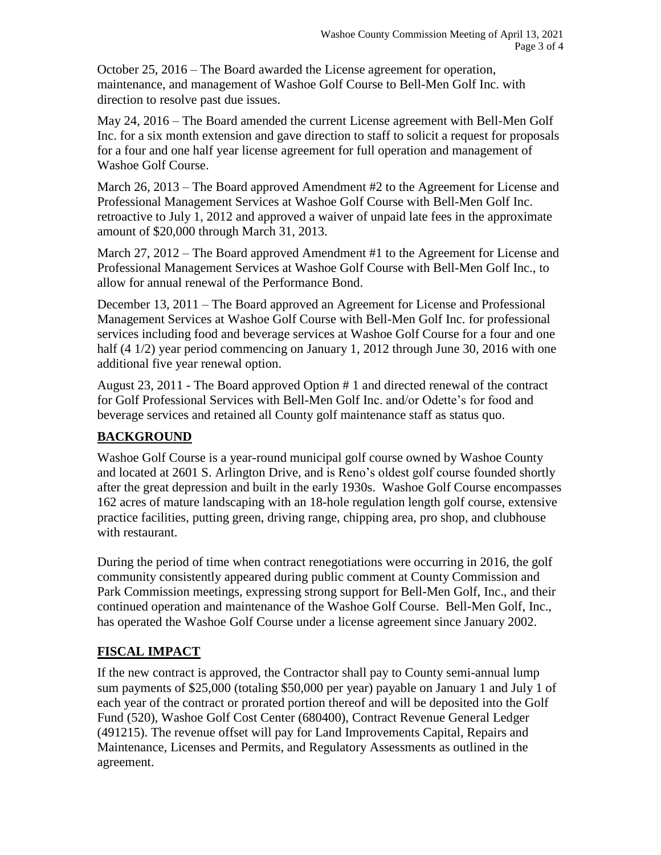October 25, 2016 – The Board awarded the License agreement for operation, maintenance, and management of Washoe Golf Course to Bell-Men Golf Inc. with direction to resolve past due issues.

May 24, 2016 – The Board amended the current License agreement with Bell-Men Golf Inc. for a six month extension and gave direction to staff to solicit a request for proposals for a four and one half year license agreement for full operation and management of Washoe Golf Course.

March 26, 2013 – The Board approved Amendment #2 to the Agreement for License and Professional Management Services at Washoe Golf Course with Bell-Men Golf Inc. retroactive to July 1, 2012 and approved a waiver of unpaid late fees in the approximate amount of \$20,000 through March 31, 2013.

March 27, 2012 – The Board approved Amendment #1 to the Agreement for License and Professional Management Services at Washoe Golf Course with Bell-Men Golf Inc., to allow for annual renewal of the Performance Bond.

December 13, 2011 – The Board approved an Agreement for License and Professional Management Services at Washoe Golf Course with Bell-Men Golf Inc. for professional services including food and beverage services at Washoe Golf Course for a four and one half (4 1/2) year period commencing on January 1, 2012 through June 30, 2016 with one additional five year renewal option.

August 23, 2011 - The Board approved Option # 1 and directed renewal of the contract for Golf Professional Services with Bell-Men Golf Inc. and/or Odette's for food and beverage services and retained all County golf maintenance staff as status quo.

### **BACKGROUND**

Washoe Golf Course is a year-round municipal golf course owned by Washoe County and located at 2601 S. Arlington Drive, and is Reno's oldest golf course founded shortly after the great depression and built in the early 1930s. Washoe Golf Course encompasses 162 acres of mature landscaping with an 18-hole regulation length golf course, extensive practice facilities, putting green, driving range, chipping area, pro shop, and clubhouse with restaurant.

During the period of time when contract renegotiations were occurring in 2016, the golf community consistently appeared during public comment at County Commission and Park Commission meetings, expressing strong support for Bell-Men Golf, Inc., and their continued operation and maintenance of the Washoe Golf Course. Bell-Men Golf, Inc., has operated the Washoe Golf Course under a license agreement since January 2002.

# **FISCAL IMPACT**

If the new contract is approved, the Contractor shall pay to County semi-annual lump sum payments of \$25,000 (totaling \$50,000 per year) payable on January 1 and July 1 of each year of the contract or prorated portion thereof and will be deposited into the Golf Fund (520), Washoe Golf Cost Center (680400), Contract Revenue General Ledger (491215). The revenue offset will pay for Land Improvements Capital, Repairs and Maintenance, Licenses and Permits, and Regulatory Assessments as outlined in the agreement.